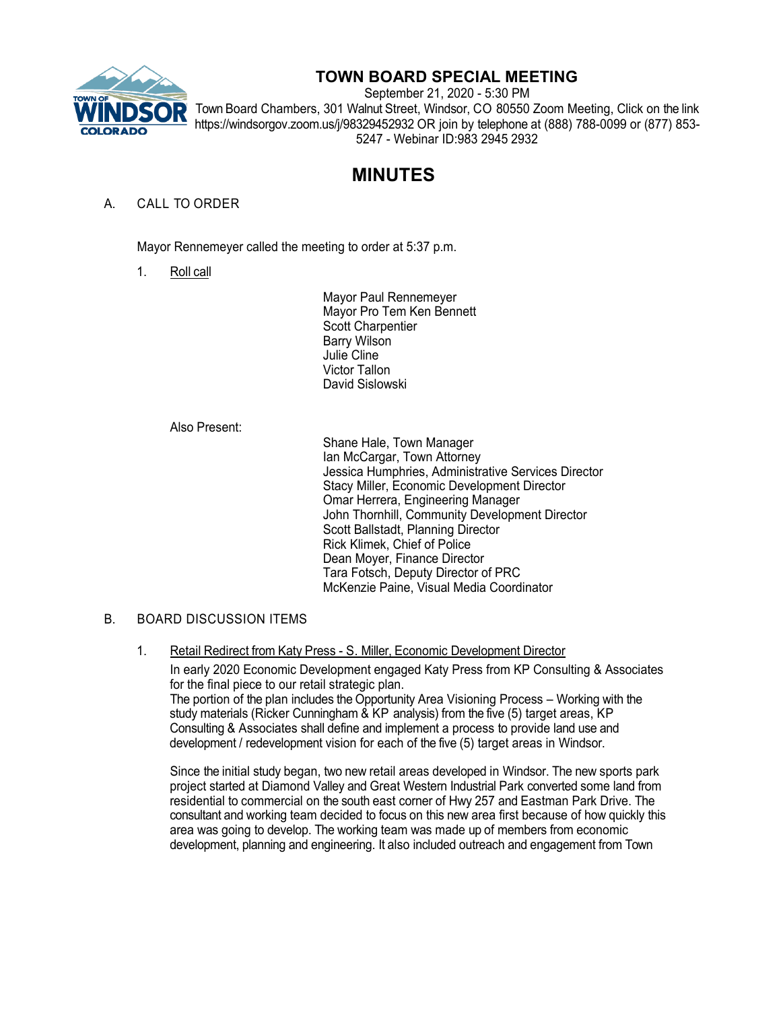

## **TOWN BOARD SPECIAL MEETING**

September 21, 2020 - 5:30 PM Town Board Chambers, 301 Walnut Street, Windsor, CO 80550 Zoom Meeting, Click on the link https://windsorgov.zoom.us/j/98329452932 OR join by telephone at (888) 788-0099 or (877) 853- 5247 - Webinar ID:983 2945 2932

# **MINUTES**

### A. CALL TO ORDER

Mayor Rennemeyer called the meeting to order at 5:37 p.m.

1. Roll call

Mayor Paul Rennemeyer Mayor Pro Tem Ken Bennett Scott Charpentier Barry Wilson Julie Cline Victor Tallon David Sislowski

Also Present:

Shane Hale, Town Manager Ian McCargar, Town Attorney Jessica Humphries, Administrative Services Director Stacy Miller, Economic Development Director Omar Herrera, Engineering Manager John Thornhill, Community Development Director Scott Ballstadt, Planning Director Rick Klimek, Chief of Police Dean Moyer, Finance Director Tara Fotsch, Deputy Director of PRC McKenzie Paine, Visual Media Coordinator

#### B. BOARD DISCUSSION ITEMS

1. Retail Redirect from Katy Press - S. Miller, Economic Development Director

In early 2020 Economic Development engaged Katy Press from KP Consulting & Associates for the final piece to our retail strategic plan. The portion of the plan includes the Opportunity Area Visioning Process – Working with the study materials (Ricker Cunningham & KP analysis) from the five (5) target areas, KP Consulting & Associates shall define and implement a process to provide land use and development / redevelopment vision for each of the five (5) target areas in Windsor.

Since the initial study began, two new retail areas developed in Windsor. The new sports park project started at Diamond Valley and Great Western Industrial Park converted some land from residential to commercial on the south east corner of Hwy 257 and Eastman Park Drive. The consultant and working team decided to focus on this new area first because of how quickly this area was going to develop. The working team was made up of members from economic development, planning and engineering. It also included outreach and engagement from Town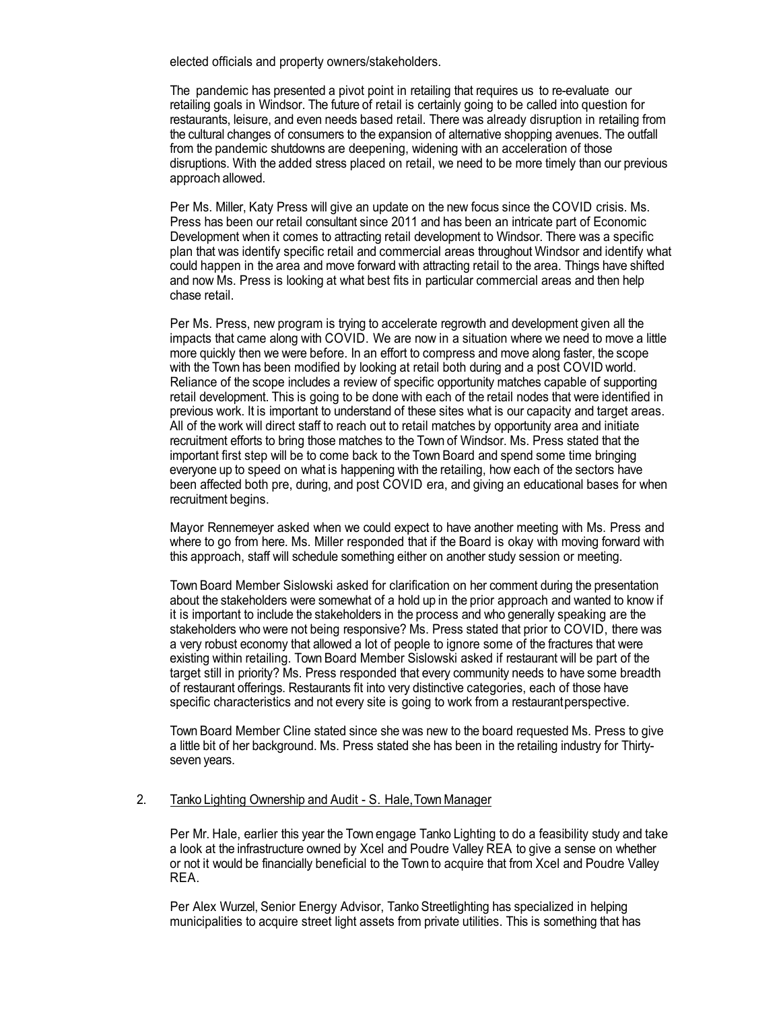elected officials and property owners/stakeholders.

The pandemic has presented a pivot point in retailing that requires us to re-evaluate our retailing goals in Windsor. The future of retail is certainly going to be called into question for restaurants, leisure, and even needs based retail. There was already disruption in retailing from the cultural changes of consumers to the expansion of alternative shopping avenues. The outfall from the pandemic shutdowns are deepening, widening with an acceleration of those disruptions. With the added stress placed on retail, we need to be more timely than our previous approach allowed.

Per Ms. Miller, Katy Press will give an update on the new focus since the COVID crisis. Ms. Press has been our retail consultant since 2011 and has been an intricate part of Economic Development when it comes to attracting retail development to Windsor. There was a specific plan that was identify specific retail and commercial areas throughout Windsor and identify what could happen in the area and move forward with attracting retail to the area. Things have shifted and now Ms. Press is looking at what best fits in particular commercial areas and then help chase retail.

Per Ms. Press, new program is trying to accelerate regrowth and development given all the impacts that came along with COVID. We are now in a situation where we need to move a little more quickly then we were before. In an effort to compress and move along faster, the scope with the Town has been modified by looking at retail both during and a post COVID world. Reliance of the scope includes a review of specific opportunity matches capable of supporting retail development. This is going to be done with each of the retail nodes that were identified in previous work. It is important to understand of these sites what is our capacity and target areas. All of the work will direct staff to reach out to retail matches by opportunity area and initiate recruitment efforts to bring those matches to the Town of Windsor. Ms. Press stated that the important first step will be to come back to the Town Board and spend some time bringing everyone up to speed on what is happening with the retailing, how each of the sectors have been affected both pre, during, and post COVID era, and giving an educational bases for when recruitment begins.

Mayor Rennemeyer asked when we could expect to have another meeting with Ms. Press and where to go from here. Ms. Miller responded that if the Board is okay with moving forward with this approach, staff will schedule something either on another study session or meeting.

Town Board Member Sislowski asked for clarification on her comment during the presentation about the stakeholders were somewhat of a hold up in the prior approach and wanted to know if it is important to include the stakeholders in the process and who generally speaking are the stakeholders who were not being responsive? Ms. Press stated that prior to COVID, there was a very robust economy that allowed a lot of people to ignore some of the fractures that were existing within retailing. Town Board Member Sislowski asked if restaurant will be part of the target still in priority? Ms. Press responded that every community needs to have some breadth of restaurant offerings. Restaurants fit into very distinctive categories, each of those have specific characteristics and not every site is going to work from a restaurantperspective.

Town Board Member Cline stated since she was new to the board requested Ms. Press to give a little bit of her background. Ms. Press stated she has been in the retailing industry for Thirtyseven years.

#### 2. Tanko Lighting Ownership and Audit - S. Hale, Town Manager

Per Mr. Hale, earlier this year the Town engage Tanko Lighting to do a feasibility study and take a look at the infrastructure owned by Xcel and Poudre Valley REA to give a sense on whether or not it would be financially beneficial to the Town to acquire that from Xcel and Poudre Valley REA.

Per Alex Wurzel, Senior Energy Advisor, Tanko Streetlighting has specialized in helping municipalities to acquire street light assets from private utilities. This is something that has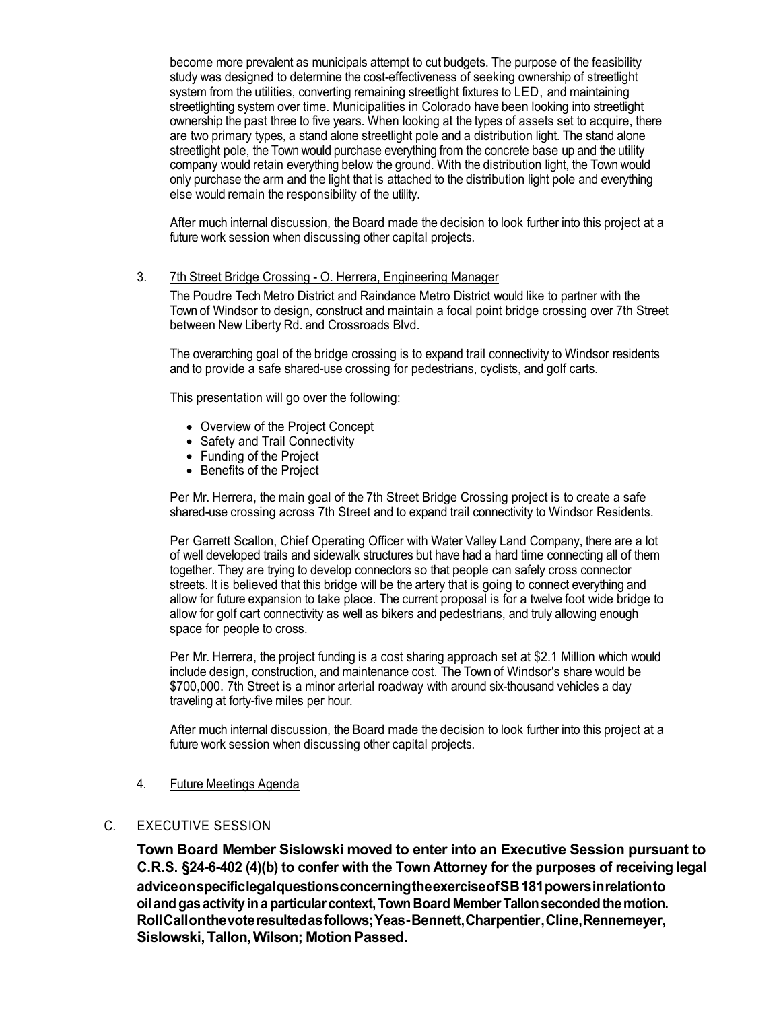become more prevalent as municipals attempt to cut budgets. The purpose of the feasibility study was designed to determine the cost-effectiveness of seeking ownership of streetlight system from the utilities, converting remaining streetlight fixtures to LED, and maintaining streetlighting system over time. Municipalities in Colorado have been looking into streetlight ownership the past three to five years. When looking at the types of assets set to acquire, there are two primary types, a stand alone streetlight pole and a distribution light. The stand alone streetlight pole, the Town would purchase everything from the concrete base up and the utility company would retain everything below the ground. With the distribution light, the Town would only purchase the arm and the light that is attached to the distribution light pole and everything else would remain the responsibility of the utility.

After much internal discussion, the Board made the decision to look further into this project at a future work session when discussing other capital projects.

#### 3. 7th Street Bridge Crossing - O. Herrera, Engineering Manager

The Poudre Tech Metro District and Raindance Metro District would like to partner with the Town of Windsor to design, construct and maintain a focal point bridge crossing over 7th Street between New Liberty Rd. and Crossroads Blvd.

The overarching goal of the bridge crossing is to expand trail connectivity to Windsor residents and to provide a safe shared-use crossing for pedestrians, cyclists, and golf carts.

This presentation will go over the following:

- Overview of the Project Concept
- Safety and Trail Connectivity
- Funding of the Project
- Benefits of the Project

Per Mr. Herrera, the main goal of the 7th Street Bridge Crossing project is to create a safe shared-use crossing across 7th Street and to expand trail connectivity to Windsor Residents.

Per Garrett Scallon, Chief Operating Officer with Water Valley Land Company, there are a lot of well developed trails and sidewalk structures but have had a hard time connecting all of them together. They are trying to develop connectors so that people can safely cross connector streets. It is believed that this bridge will be the artery that is going to connect everything and allow for future expansion to take place. The current proposal is for a twelve foot wide bridge to allow for golf cart connectivity as well as bikers and pedestrians, and truly allowing enough space for people to cross.

Per Mr. Herrera, the project funding is a cost sharing approach set at \$2.1 Million which would include design, construction, and maintenance cost. The Town of Windsor's share would be \$700,000. 7th Street is a minor arterial roadway with around six-thousand vehicles a day traveling at forty-five miles per hour.

After much internal discussion, the Board made the decision to look further into this project at a future work session when discussing other capital projects.

#### 4. Future Meetings Agenda

#### C. EXECUTIVE SESSION

**Town Board Member Sislowski moved to enter into an Executive Session pursuant to C.R.S. §24-6-402 (4)(b) to confer with the Town Attorney for the purposes of receiving legal adviceonspecificlegalquestionsconcerningtheexerciseofSB181powersinrelationto oilandgas activityina particularcontext,Town Board Member Tallonsecondedthemotion. RollCallonthevoteresultedasfollows;Yeas-Bennett,Charpentier,Cline,Rennemeyer, Sislowski,Tallon,Wilson; MotionPassed.**